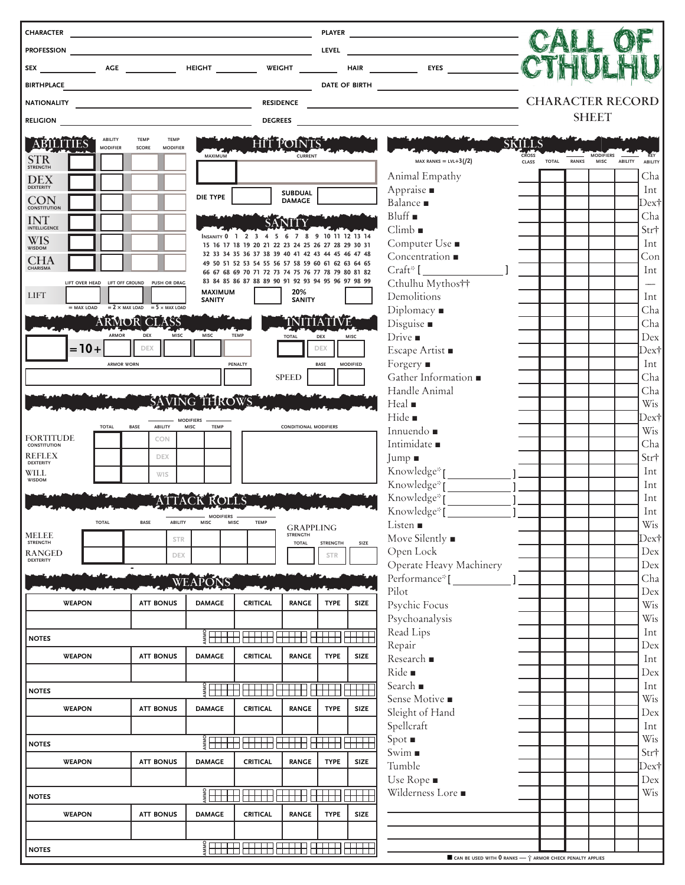| <b>CHARACTER</b>                      |                                |                 |                   |                                                              |                                 |                                                                                                                                                                                                                                                                                                                     | <u> 1989 - Johann Barn, amerikansk politiker (</u>                                                       |                                 |                 |                       |                                                |                |                         |              |                                 |                |                |
|---------------------------------------|--------------------------------|-----------------|-------------------|--------------------------------------------------------------|---------------------------------|---------------------------------------------------------------------------------------------------------------------------------------------------------------------------------------------------------------------------------------------------------------------------------------------------------------------|----------------------------------------------------------------------------------------------------------|---------------------------------|-----------------|-----------------------|------------------------------------------------|----------------|-------------------------|--------------|---------------------------------|----------------|----------------|
|                                       |                                |                 |                   |                                                              |                                 |                                                                                                                                                                                                                                                                                                                     |                                                                                                          |                                 |                 |                       |                                                |                |                         |              |                                 |                |                |
|                                       |                                |                 |                   |                                                              |                                 |                                                                                                                                                                                                                                                                                                                     |                                                                                                          |                                 |                 |                       |                                                |                |                         |              |                                 |                |                |
|                                       |                                |                 |                   |                                                              |                                 |                                                                                                                                                                                                                                                                                                                     |                                                                                                          |                                 |                 |                       |                                                |                |                         |              |                                 |                |                |
|                                       |                                |                 |                   |                                                              |                                 |                                                                                                                                                                                                                                                                                                                     |                                                                                                          |                                 |                 |                       |                                                |                | <b>CHARACTER RECORD</b> |              |                                 |                |                |
| <b>RELIGION</b>                       |                                |                 |                   |                                                              |                                 |                                                                                                                                                                                                                                                                                                                     | DEGREES                                                                                                  |                                 |                 |                       |                                                |                |                         |              | <b>SHEET</b>                    |                |                |
| ABILITIE                              |                                | ABILITY         | <b>TEMP</b>       | TEMP                                                         |                                 |                                                                                                                                                                                                                                                                                                                     |                                                                                                          | <b>HITTPONTS</b>                |                 |                       |                                                | SKILLS         |                         |              |                                 |                |                |
|                                       |                                | <b>MODIFIER</b> | SCORE             | <b>MODIFIER</b>                                              |                                 | MAXIMUM                                                                                                                                                                                                                                                                                                             |                                                                                                          | <b>CURRENT</b>                  |                 |                       | MAX RANKS = $LVL+3(/2)$                        | CROSS<br>CLASS | <b>TOTAL</b>            | <b>RANKS</b> | <b>MODIFIERS</b><br><b>MISC</b> | <b>ABILITY</b> | KEY<br>ABILITY |
| STR                                   |                                |                 |                   |                                                              |                                 |                                                                                                                                                                                                                                                                                                                     |                                                                                                          |                                 |                 |                       | Animal Empathy                                 |                |                         |              |                                 |                | Cha            |
| <b>DEX</b>                            |                                |                 |                   |                                                              |                                 |                                                                                                                                                                                                                                                                                                                     |                                                                                                          | <b>SUBDUAL</b>                  |                 |                       | Appraise .                                     |                |                         |              |                                 |                | Int            |
| <b>CON</b><br><b>CONSTITUTION</b>     |                                |                 |                   |                                                              |                                 | DIE TYPE                                                                                                                                                                                                                                                                                                            |                                                                                                          | <b>DAMAGE</b>                   |                 |                       | Balance .                                      |                |                         |              |                                 |                | Dex†           |
| $\mathop{\rm INT}_{\rm INTELLIGENCE}$ |                                |                 |                   |                                                              |                                 |                                                                                                                                                                                                                                                                                                                     |                                                                                                          |                                 |                 |                       | Bluff                                          |                |                         |              |                                 |                | Cha            |
| WIS                                   |                                |                 |                   |                                                              |                                 |                                                                                                                                                                                                                                                                                                                     | INSANITY 0 1 2 3 4 5 6 7 8 9 10 11 12 13 14<br>15 16 17 18 19 20 21 22 23 24 25 26 27 28 29 30 31        |                                 |                 |                       | Climb<br>Computer Use ■                        |                |                         |              |                                 |                | Str†<br>Int    |
| <b>CHA</b>                            |                                |                 |                   |                                                              |                                 |                                                                                                                                                                                                                                                                                                                     | 32 33 34 35 36 37 38 39 40 41 42 43 44 45 46 47 48                                                       |                                 |                 |                       | Concentration $\blacksquare$                   |                |                         |              |                                 |                | Con            |
| CHARISMA                              |                                |                 |                   |                                                              |                                 |                                                                                                                                                                                                                                                                                                                     | 49 50 51 52 53 54 55 56 57 58 59 60 61 62 63 64 65<br>66 67 68 69 70 71 72 73 74 75 76 77 78 79 80 81 82 |                                 |                 |                       | $Craft*$ $\Box$                                |                |                         |              |                                 |                | Int            |
|                                       | LIFT OVER HEAD LIFT OFF GROUND |                 |                   | PUSH OR DRAG                                                 |                                 | MAXIMUM                                                                                                                                                                                                                                                                                                             | 83 84 85 86 87 88 89 90 91 92 93 94 95 96 97 98 99                                                       | 20%                             |                 |                       | Cthulhu Mythos††                               |                |                         |              |                                 |                |                |
| <b>LIFT</b>                           |                                |                 |                   | $=$ MAX LOAD $=$ 2 $\times$ MAX LOAD $=$ 5 $\times$ MAX LOAD |                                 | <b>SANITY</b>                                                                                                                                                                                                                                                                                                       |                                                                                                          | SANITY                          |                 |                       | Demolitions<br>Diplomacy $\blacksquare$        |                |                         |              |                                 |                | Int<br>Cha     |
|                                       |                                |                 |                   | <b>ARMOR CLASS</b>                                           |                                 |                                                                                                                                                                                                                                                                                                                     |                                                                                                          |                                 |                 |                       | Disguise ■                                     |                |                         |              |                                 |                | Cha            |
|                                       |                                | ARMOR           | DEX               | MISC                                                         |                                 | MISC                                                                                                                                                                                                                                                                                                                | <b>TEMP</b>                                                                                              | <b>TOTAL</b>                    | DEX             | MISC                  | Drive $\blacksquare$                           |                |                         |              |                                 |                | Dex            |
|                                       | $=10+$                         |                 | <b>DEX</b>        |                                                              |                                 |                                                                                                                                                                                                                                                                                                                     |                                                                                                          |                                 | <b>DEX</b>      |                       | Escape Artist ■                                |                |                         |              |                                 |                | Dex†           |
|                                       |                                |                 | <b>ARMOR WORN</b> |                                                              |                                 |                                                                                                                                                                                                                                                                                                                     | PENALTY                                                                                                  | <b>SPEED</b>                    | <b>BASE</b>     | <b>MODIFIED</b>       | Forgery $\blacksquare$<br>Gather Information ■ |                |                         |              |                                 |                | Int<br>Cha     |
|                                       |                                |                 |                   |                                                              |                                 |                                                                                                                                                                                                                                                                                                                     |                                                                                                          |                                 |                 |                       | Handle Animal                                  |                |                         |              |                                 |                | Cha            |
|                                       |                                |                 |                   | SAVING THROWS                                                |                                 |                                                                                                                                                                                                                                                                                                                     |                                                                                                          |                                 |                 |                       | Heal $\blacksquare$                            |                |                         |              |                                 |                | Wis            |
|                                       |                                | <b>TOTAL</b>    | <b>BASE</b>       | ABILITY                                                      | <b>MODIFIERS</b><br><b>MISC</b> | <b>TEMP</b>                                                                                                                                                                                                                                                                                                         |                                                                                                          | <b>CONDITIONAL MODIFIERS</b>    |                 |                       | Hide .                                         |                |                         |              |                                 |                | Dex†           |
| <b>FORTITUDE</b>                      |                                |                 |                   | CON                                                          |                                 |                                                                                                                                                                                                                                                                                                                     |                                                                                                          |                                 |                 |                       | Innuendo .<br>Intimidate $\blacksquare$        |                |                         |              |                                 |                | <b>Wis</b>     |
| <b>CONSTITUTION</b><br><b>REFLEX</b>  |                                |                 |                   | <b>DEX</b>                                                   |                                 |                                                                                                                                                                                                                                                                                                                     |                                                                                                          |                                 |                 |                       | Jump ■                                         |                |                         |              |                                 |                | Cha<br>Str†    |
| <b>DEXTERITY</b><br>WILL              |                                |                 |                   | <b>WIS</b>                                                   |                                 |                                                                                                                                                                                                                                                                                                                     |                                                                                                          |                                 |                 |                       | Knowledge <sup>*</sup> <sub>I</sub>            |                |                         |              |                                 |                | Int            |
| <b>WISDOM</b>                         |                                |                 |                   |                                                              |                                 |                                                                                                                                                                                                                                                                                                                     |                                                                                                          |                                 |                 |                       | Knowledge*[                                    |                |                         |              |                                 |                | Int            |
|                                       |                                |                 |                   |                                                              |                                 |                                                                                                                                                                                                                                                                                                                     |                                                                                                          |                                 |                 |                       | Knowledge*[                                    |                |                         |              |                                 |                | Int            |
|                                       |                                |                 | BASE              | <b>ABILITY</b>                                               |                                 | MODIFIERS -<br><b>MISC</b>                                                                                                                                                                                                                                                                                          | <b>TEMP</b>                                                                                              | <b>GRAPPLING</b>                |                 |                       | Knowledge*[<br>Listen $\blacksquare$           |                |                         |              |                                 |                | Int<br>Wis     |
| <b>MELEE</b><br><b>STRENGTH</b>       |                                |                 |                   | <b>STR</b>                                                   |                                 |                                                                                                                                                                                                                                                                                                                     |                                                                                                          | <b>STRENGTH</b><br><b>TOTAL</b> | <b>STRENGTH</b> | SIZE                  | Move Silently $\blacksquare$                   |                |                         |              |                                 |                | Dex†           |
| <b>RANGED</b><br><b>DEXTERITY</b>     |                                |                 |                   | DEX                                                          |                                 |                                                                                                                                                                                                                                                                                                                     |                                                                                                          |                                 | <b>STR</b>      |                       | Open Lock                                      |                |                         |              |                                 |                | Dex            |
|                                       |                                |                 |                   |                                                              |                                 |                                                                                                                                                                                                                                                                                                                     |                                                                                                          |                                 |                 |                       | Operate Heavy Machinery                        |                |                         |              |                                 |                | Dex            |
|                                       |                                |                 |                   |                                                              |                                 | WEAPONS                                                                                                                                                                                                                                                                                                             |                                                                                                          |                                 |                 |                       | Performance <sup>*</sup><br>Pilot              |                |                         |              |                                 |                | Cha<br>Dex     |
|                                       | <b>WEAPON</b>                  |                 |                   | <b>ATT BONUS</b>                                             |                                 | <b>DAMAGE</b>                                                                                                                                                                                                                                                                                                       | <b>CRITICAL</b>                                                                                          | <b>RANGE</b>                    | <b>TYPE</b>     | SIZE                  | Psychic Focus                                  |                |                         |              |                                 |                | Wis            |
|                                       |                                |                 |                   |                                                              |                                 |                                                                                                                                                                                                                                                                                                                     |                                                                                                          |                                 |                 |                       | Psychoanalysis                                 |                |                         |              |                                 |                | Wis            |
| <b>NOTES</b>                          |                                |                 |                   |                                                              |                                 |                                                                                                                                                                                                                                                                                                                     | $\frac{2}{3}$ $\frac{1}{2}$ $\frac{1}{2}$ $\frac{1}{2}$ $\frac{1}{2}$ $\frac{1}{2}$ $\frac{1}{2}$        | <del>HITH FITH</del>            |                 | $\Box$                | Read Lips                                      |                |                         |              |                                 |                | Int            |
|                                       | <b>WEAPON</b>                  |                 |                   | <b>ATT BONUS</b>                                             |                                 | <b>DAMAGE</b>                                                                                                                                                                                                                                                                                                       | <b>CRITICAL</b>                                                                                          | <b>RANGE</b>                    | <b>TYPE</b>     | SIZE                  | Repair<br>Research ■                           |                |                         |              |                                 |                | Dex<br>Int     |
|                                       |                                |                 |                   |                                                              |                                 |                                                                                                                                                                                                                                                                                                                     |                                                                                                          |                                 |                 |                       | Ride ■                                         |                |                         |              |                                 |                | Dex            |
| <b>NOTES</b>                          |                                |                 |                   |                                                              |                                 | $\frac{1}{2}$ $\frac{1}{2}$ $\frac{1}{2}$ $\frac{1}{2}$ $\frac{1}{2}$ $\frac{1}{2}$ $\frac{1}{2}$ $\frac{1}{2}$ $\frac{1}{2}$ $\frac{1}{2}$ $\frac{1}{2}$ $\frac{1}{2}$ $\frac{1}{2}$ $\frac{1}{2}$ $\frac{1}{2}$ $\frac{1}{2}$ $\frac{1}{2}$ $\frac{1}{2}$ $\frac{1}{2}$ $\frac{1}{2}$ $\frac{1}{2}$ $\frac{1}{2}$ |                                                                                                          | <del>HHHH</del>                 | <b>HHHH</b>     | TTTTTTTTTTTT <i>T</i> | Search $\blacksquare$                          |                |                         |              |                                 |                | Int            |
|                                       | <b>WEAPON</b>                  |                 |                   | <b>ATT BONUS</b>                                             |                                 | <b>DAMAGE</b>                                                                                                                                                                                                                                                                                                       | <b>CRITICAL</b>                                                                                          | <b>RANGE</b>                    | <b>TYPE</b>     | SIZE                  | Sense Motive ■                                 |                |                         |              |                                 |                | Wis            |
|                                       |                                |                 |                   |                                                              |                                 |                                                                                                                                                                                                                                                                                                                     |                                                                                                          |                                 |                 |                       | Sleight of Hand<br>Spellcraft                  |                |                         |              |                                 |                | Dex<br>Int     |
| <b>NOTES</b>                          |                                |                 |                   |                                                              |                                 | $\frac{2}{3}$                                                                                                                                                                                                                                                                                                       | $\Box$                                                                                                   | $\overline{H}$                  |                 |                       | $Spot \blacksquare$                            |                |                         |              |                                 |                | Wis            |
|                                       | <b>WEAPON</b>                  |                 |                   | <b>ATT BONUS</b>                                             |                                 | <b>DAMAGE</b>                                                                                                                                                                                                                                                                                                       | <b>CRITICAL</b>                                                                                          | <b>RANGE</b>                    | <b>TYPE</b>     | SIZE                  | Swim $\blacksquare$                            |                |                         |              |                                 |                | Str†           |
|                                       |                                |                 |                   |                                                              |                                 |                                                                                                                                                                                                                                                                                                                     |                                                                                                          |                                 |                 |                       | Tumble                                         |                |                         |              |                                 |                | Dex†           |
|                                       |                                |                 |                   |                                                              |                                 |                                                                                                                                                                                                                                                                                                                     |                                                                                                          |                                 |                 |                       | Use Rope ■<br>Wilderness Lore ■                |                |                         |              |                                 |                | Dex<br>Wis     |
| <b>NOTES</b>                          |                                |                 |                   |                                                              |                                 | $\frac{2}{3}$ $\frac{1}{2}$ $\frac{1}{2}$                                                                                                                                                                                                                                                                           |                                                                                                          |                                 |                 | <b>TILL</b>           |                                                |                |                         |              |                                 |                |                |
|                                       | <b>WEAPON</b>                  |                 |                   | <b>ATT BONUS</b>                                             |                                 | <b>DAMAGE</b>                                                                                                                                                                                                                                                                                                       | <b>CRITICAL</b>                                                                                          | <b>RANGE</b>                    | <b>TYPE</b>     | SIZE                  |                                                |                |                         |              |                                 |                |                |
|                                       |                                |                 |                   |                                                              |                                 |                                                                                                                                                                                                                                                                                                                     |                                                                                                          |                                 |                 |                       |                                                |                |                         |              |                                 |                |                |
| <b>NOTES</b>                          |                                |                 |                   |                                                              |                                 |                                                                                                                                                                                                                                                                                                                     |                                                                                                          |                                 |                 |                       |                                                |                |                         |              |                                 |                |                |

■ **CAN BE USED WITH 0 RANKS — † ARMOR CHECK PENALTY APPLIES**